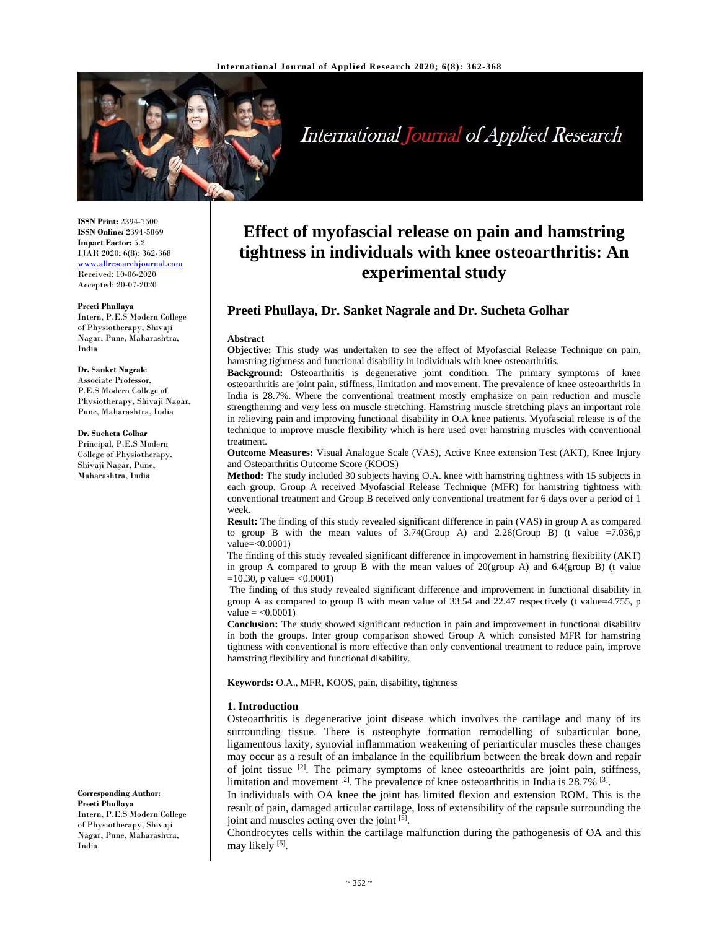

International Journal of Applied Research

**ISSN Print:** 2394-7500 **ISSN Online:** 2394-5869 **Impact Factor:** 5.2 IJAR 2020; 6(8): 362-368 www.allresearchjournal.com Received: 10-06-2020 Accepted: 20-07-2020

#### **Preeti Phullaya**

Intern, P.E.S Modern College of Physiotherapy, Shivaji Nagar, Pune, Maharashtra, India

#### **Dr. Sanket Nagrale**

Associate Professor, P.E.S Modern College of Physiotherapy, Shivaji Nagar, Pune, Maharashtra, India

#### **Dr. Sucheta Golhar**

Principal, P.E.S Modern College of Physiotherapy, Shivaji Nagar, Pune, Maharashtra, India

**Corresponding Author: Preeti Phullaya**  Intern, P.E.S Modern College of Physiotherapy, Shivaji Nagar, Pune, Maharashtra,

India

# **Effect of myofascial release on pain and hamstring tightness in individuals with knee osteoarthritis: An experimental study**

# **Preeti Phullaya, Dr. Sanket Nagrale and Dr. Sucheta Golhar**

#### **Abstract**

**Objective:** This study was undertaken to see the effect of Myofascial Release Technique on pain, hamstring tightness and functional disability in individuals with knee osteoarthritis.

**Background:** Osteoarthritis is degenerative joint condition. The primary symptoms of knee osteoarthritis are joint pain, stiffness, limitation and movement. The prevalence of knee osteoarthritis in India is 28.7%. Where the conventional treatment mostly emphasize on pain reduction and muscle strengthening and very less on muscle stretching. Hamstring muscle stretching plays an important role in relieving pain and improving functional disability in O.A knee patients. Myofascial release is of the technique to improve muscle flexibility which is here used over hamstring muscles with conventional treatment.

**Outcome Measures:** Visual Analogue Scale (VAS), Active Knee extension Test (AKT), Knee Injury and Osteoarthritis Outcome Score (KOOS)

**Method:** The study included 30 subjects having O.A. knee with hamstring tightness with 15 subjects in each group. Group A received Myofascial Release Technique (MFR) for hamstring tightness with conventional treatment and Group B received only conventional treatment for 6 days over a period of 1 week.

**Result:** The finding of this study revealed significant difference in pain (VAS) in group A as compared to group B with the mean values of  $3.74$ (Group A) and  $2.26$ (Group B) (t value =7.036,p value=<0.0001)

The finding of this study revealed significant difference in improvement in hamstring flexibility (AKT) in group A compared to group B with the mean values of  $20$ (group A) and  $6.4$ (group B) (t value  $=10.30$ , p value $=$  <0.0001)

The finding of this study revealed significant difference and improvement in functional disability in group A as compared to group B with mean value of 33.54 and 22.47 respectively (t value=4.755, p  $value = <0.0001$ )

**Conclusion:** The study showed significant reduction in pain and improvement in functional disability in both the groups. Inter group comparison showed Group A which consisted MFR for hamstring tightness with conventional is more effective than only conventional treatment to reduce pain, improve hamstring flexibility and functional disability.

**Keywords:** O.A., MFR, KOOS, pain, disability, tightness

#### **1. Introduction**

Osteoarthritis is degenerative joint disease which involves the cartilage and many of its surrounding tissue. There is osteophyte formation remodelling of subarticular bone, ligamentous laxity, synovial inflammation weakening of periarticular muscles these changes may occur as a result of an imbalance in the equilibrium between the break down and repair of joint tissue  $[2]$ . The primary symptoms of knee osteoarthritis are joint pain, stiffness, limitation and movement <sup>[2]</sup>. The prevalence of knee osteoarthritis in India is 28.7% <sup>[3]</sup>.

In individuals with OA knee the joint has limited flexion and extension ROM. This is the result of pain, damaged articular cartilage, loss of extensibility of the capsule surrounding the joint and muscles acting over the joint <sup>[5]</sup>.

Chondrocytes cells within the cartilage malfunction during the pathogenesis of OA and this may likely [5].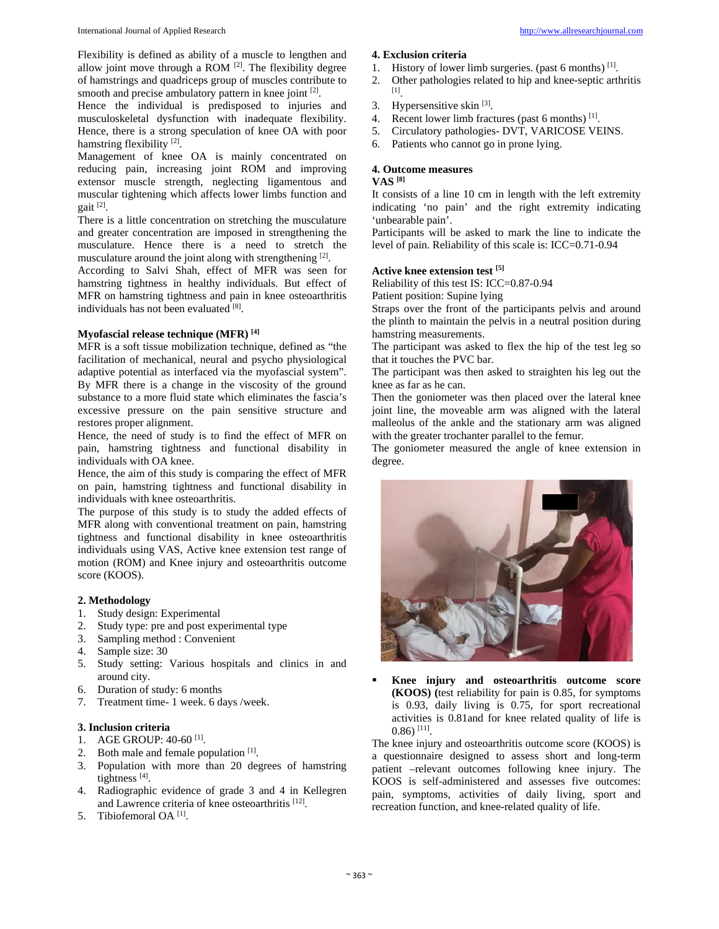Flexibility is defined as ability of a muscle to lengthen and allow joint move through a ROM  $^{[2]}$ . The flexibility degree of hamstrings and quadriceps group of muscles contribute to smooth and precise ambulatory pattern in knee joint [2].

Hence the individual is predisposed to injuries and musculoskeletal dysfunction with inadequate flexibility. Hence, there is a strong speculation of knee OA with poor hamstring flexibility [2].

Management of knee OA is mainly concentrated on reducing pain, increasing joint ROM and improving extensor muscle strength, neglecting ligamentous and muscular tightening which affects lower limbs function and gait [2].

There is a little concentration on stretching the musculature and greater concentration are imposed in strengthening the musculature. Hence there is a need to stretch the musculature around the joint along with strengthening [2].

According to Salvi Shah, effect of MFR was seen for hamstring tightness in healthy individuals. But effect of MFR on hamstring tightness and pain in knee osteoarthritis individuals has not been evaluated [8].

# **Myofascial release technique (MFR) [4]**

MFR is a soft tissue mobilization technique, defined as "the facilitation of mechanical, neural and psycho physiological adaptive potential as interfaced via the myofascial system". By MFR there is a change in the viscosity of the ground substance to a more fluid state which eliminates the fascia's excessive pressure on the pain sensitive structure and restores proper alignment.

Hence, the need of study is to find the effect of MFR on pain, hamstring tightness and functional disability in individuals with OA knee.

Hence, the aim of this study is comparing the effect of MFR on pain, hamstring tightness and functional disability in individuals with knee osteoarthritis.

The purpose of this study is to study the added effects of MFR along with conventional treatment on pain, hamstring tightness and functional disability in knee osteoarthritis individuals using VAS, Active knee extension test range of motion (ROM) and Knee injury and osteoarthritis outcome score (KOOS).

# **2. Methodology**

- 1. Study design: Experimental
- 2. Study type: pre and post experimental type
- 3. Sampling method : Convenient
- 4. Sample size: 30
- 5. Study setting: Various hospitals and clinics in and around city.
- 6. Duration of study: 6 months
- 7. Treatment time- 1 week. 6 days /week.

## **3. Inclusion criteria**

- 1. AGE GROUP: 40-60 [1].
- 2. Both male and female population [1].
- 3. Population with more than 20 degrees of hamstring tightness [4].
- 4. Radiographic evidence of grade 3 and 4 in Kellegren and Lawrence criteria of knee osteoarthritis [12].
- 5. Tibiofemoral OA [1].

#### **4. Exclusion criteria**

- 1. History of lower limb surgeries. (past 6 months) [1].
- 2. Other pathologies related to hip and knee-septic arthritis [1].
- 3. Hypersensitive skin [3].
- 4. Recent lower limb fractures (past 6 months) [1].
- 5. Circulatory pathologies- DVT, VARICOSE VEINS.
- 6. Patients who cannot go in prone lying.

# **4. Outcome measures**

# **VAS [8]**

It consists of a line 10 cm in length with the left extremity indicating 'no pain' and the right extremity indicating 'unbearable pain'.

Participants will be asked to mark the line to indicate the level of pain. Reliability of this scale is: ICC=0.71-0.94

## **Active knee extension test [5]**

Reliability of this test IS: ICC=0.87-0.94

Patient position: Supine lying

Straps over the front of the participants pelvis and around the plinth to maintain the pelvis in a neutral position during hamstring measurements.

The participant was asked to flex the hip of the test leg so that it touches the PVC bar.

The participant was then asked to straighten his leg out the knee as far as he can.

Then the goniometer was then placed over the lateral knee joint line, the moveable arm was aligned with the lateral malleolus of the ankle and the stationary arm was aligned with the greater trochanter parallel to the femur.

The goniometer measured the angle of knee extension in degree.



 **Knee injury and osteoarthritis outcome score (KOOS) (**test reliability for pain is 0.85, for symptoms is 0.93, daily living is 0.75, for sport recreational activities is 0.81and for knee related quality of life is  $(0.86)$  [11].

The knee injury and osteoarthritis outcome score (KOOS) is a questionnaire designed to assess short and long-term patient –relevant outcomes following knee injury. The KOOS is self-administered and assesses five outcomes: pain, symptoms, activities of daily living, sport and recreation function, and knee-related quality of life.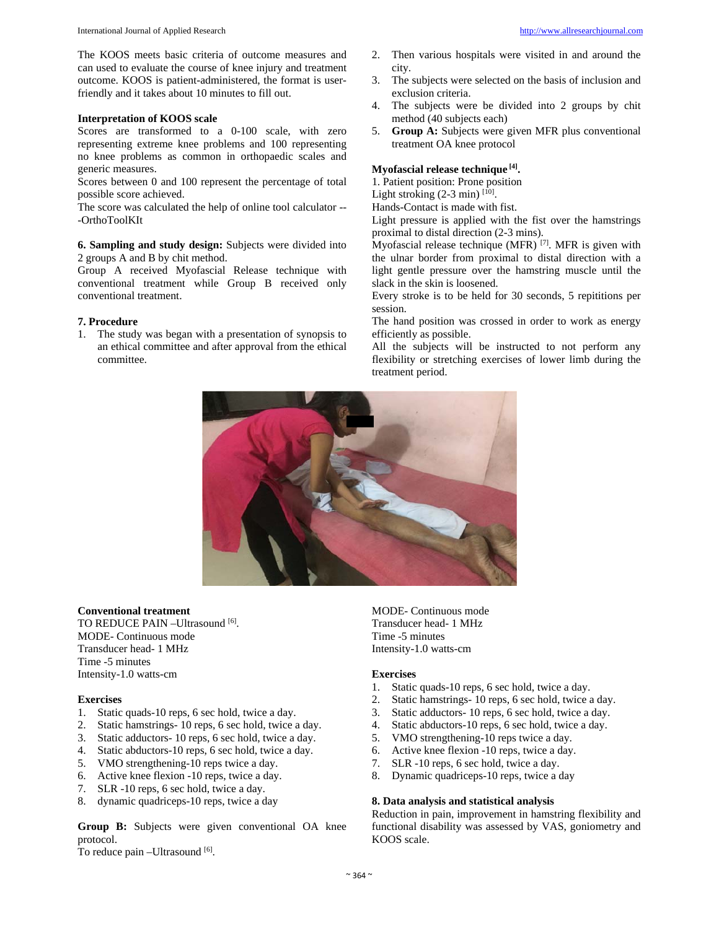The KOOS meets basic criteria of outcome measures and can used to evaluate the course of knee injury and treatment outcome. KOOS is patient-administered, the format is userfriendly and it takes about 10 minutes to fill out.

#### **Interpretation of KOOS scale**

Scores are transformed to a 0-100 scale, with zero representing extreme knee problems and 100 representing no knee problems as common in orthopaedic scales and generic measures.

Scores between 0 and 100 represent the percentage of total possible score achieved.

The score was calculated the help of online tool calculator -- -OrthoToolKIt

**6. Sampling and study design:** Subjects were divided into 2 groups A and B by chit method.

Group A received Myofascial Release technique with conventional treatment while Group B received only conventional treatment.

#### **7. Procedure**

1. The study was began with a presentation of synopsis to an ethical committee and after approval from the ethical committee.

- 2. Then various hospitals were visited in and around the city.
- 3. The subjects were selected on the basis of inclusion and exclusion criteria.
- 4. The subjects were be divided into 2 groups by chit method (40 subjects each)
- 5. **Group A:** Subjects were given MFR plus conventional treatment OA knee protocol

# **Myofascial release technique [4].**

1. Patient position: Prone position

Light stroking  $(2-3 \text{ min})$  [10].

Hands-Contact is made with fist.

Light pressure is applied with the fist over the hamstrings proximal to distal direction (2-3 mins).

Myofascial release technique (MFR)  $^{[7]}$ . MFR is given with the ulnar border from proximal to distal direction with a light gentle pressure over the hamstring muscle until the slack in the skin is loosened.

Every stroke is to be held for 30 seconds, 5 repititions per session.

The hand position was crossed in order to work as energy efficiently as possible.

All the subjects will be instructed to not perform any flexibility or stretching exercises of lower limb during the treatment period.



#### **Conventional treatment**

TO REDUCE PAIN - Ultrasound [6]. MODE- Continuous mode Transducer head- 1 MHz Time -5 minutes Intensity-1.0 watts-cm

#### **Exercises**

- 1. Static quads-10 reps, 6 sec hold, twice a day.
- 2. Static hamstrings- 10 reps, 6 sec hold, twice a day.
- 3. Static adductors- 10 reps, 6 sec hold, twice a day.
- 4. Static abductors-10 reps, 6 sec hold, twice a day.
- 5. VMO strengthening-10 reps twice a day.
- 6. Active knee flexion -10 reps, twice a day.
- 7. SLR -10 reps, 6 sec hold, twice a day.
- 8. dynamic quadriceps-10 reps, twice a day

**Group B:** Subjects were given conventional OA knee protocol.

To reduce pain -Ultrasound [6].

MODE- Continuous mode Transducer head- 1 MHz Time -5 minutes Intensity-1.0 watts-cm

#### **Exercises**

- 1. Static quads-10 reps, 6 sec hold, twice a day.
- 2. Static hamstrings- 10 reps, 6 sec hold, twice a day.
- 3. Static adductors- 10 reps, 6 sec hold, twice a day.
- 4. Static abductors-10 reps, 6 sec hold, twice a day.
- 5. VMO strengthening-10 reps twice a day.
- 6. Active knee flexion -10 reps, twice a day.
- 7. SLR -10 reps, 6 sec hold, twice a day.
- 8. Dynamic quadriceps-10 reps, twice a day

# **8. Data analysis and statistical analysis**

Reduction in pain, improvement in hamstring flexibility and functional disability was assessed by VAS, goniometry and KOOS scale.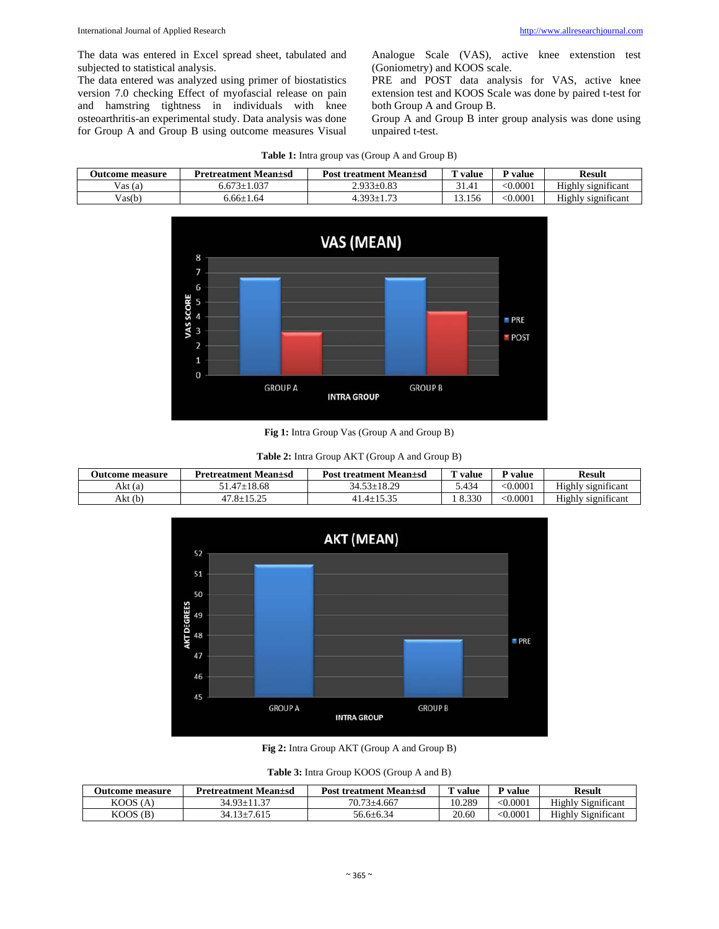The data was entered in Excel spread sheet, tabulated and subjected to statistical analysis.

The data entered was analyzed using primer of biostatistics version 7.0 checking Effect of myofascial release on pain and hamstring tightness in individuals with knee osteoarthritis-an experimental study. Data analysis was done for Group A and Group B using outcome measures Visual Analogue Scale (VAS), active knee extenstion test (Goniometry) and KOOS scale.

PRE and POST data analysis for VAS, active knee extension test and KOOS Scale was done by paired t-test for both Group A and Group B.

Group A and Group B inter group analysis was done using unpaired t-test.

| <b>Outcome measure</b> | <b>Pretreatment Mean</b> + sd | <b>Post treatment Mean</b> + sd | value  | value        | <b>Result</b>      |
|------------------------|-------------------------------|---------------------------------|--------|--------------|--------------------|
| T<br>Vas (a)           | $0.673 \pm 1.037$             | $2.933 \pm 0.83$                | 31.41  | $<$ $0.0001$ | Highly significant |
| $V_{\text{as}}(b)$     | 6.66±1.64                     | $303+$<br>$-72$                 | 13.156 | $<$ $0.0001$ | Highly significant |



**Fig 1:** Intra Group Vas (Group A and Group B)

| Table 2: Intra Group AKT (Group A and Group B) |  |
|------------------------------------------------|--|
|------------------------------------------------|--|

| Outcome measure | <b>Pretreatment Mean</b> + sd | <b>Post treatment Mean</b> ± sd | $T$ value | P value       | Result             |
|-----------------|-------------------------------|---------------------------------|-----------|---------------|--------------------|
| Akt (a)         | 1.47±18.68                    | 18.29<br>$34.53 + i$            | 434.ر     | $<\!\!0.0001$ | Highly significant |
| Akt (b)         | $17.8 + 15.25$                | $4+$                            | 8.330     | $<\!\!0.0001$ | Highly significant |



**Fig 2:** Intra Group AKT (Group A and Group B)

|  | Table 3: Intra Group KOOS (Group A and B) |
|--|-------------------------------------------|
|--|-------------------------------------------|

| <b>Outcome measure</b> | Pretreatment Mean+sd | <b>Post treatment Mean</b> + sd | value  | P value         | Result                    |
|------------------------|----------------------|---------------------------------|--------|-----------------|---------------------------|
| KOOS(A)                | $34.93 + 11.37$      | 70.73+4.667                     | 10.289 | $<$ 0.0001 $\,$ | <b>Highly Significant</b> |
| $KOOS$ (B)             | $34.13 \pm 7.615$    | 56.6+6.34                       | 20.60  | $< \!\! 0.0001$ | <b>Highly Significant</b> |

**Table 1:** Intra group vas (Group A and Group B)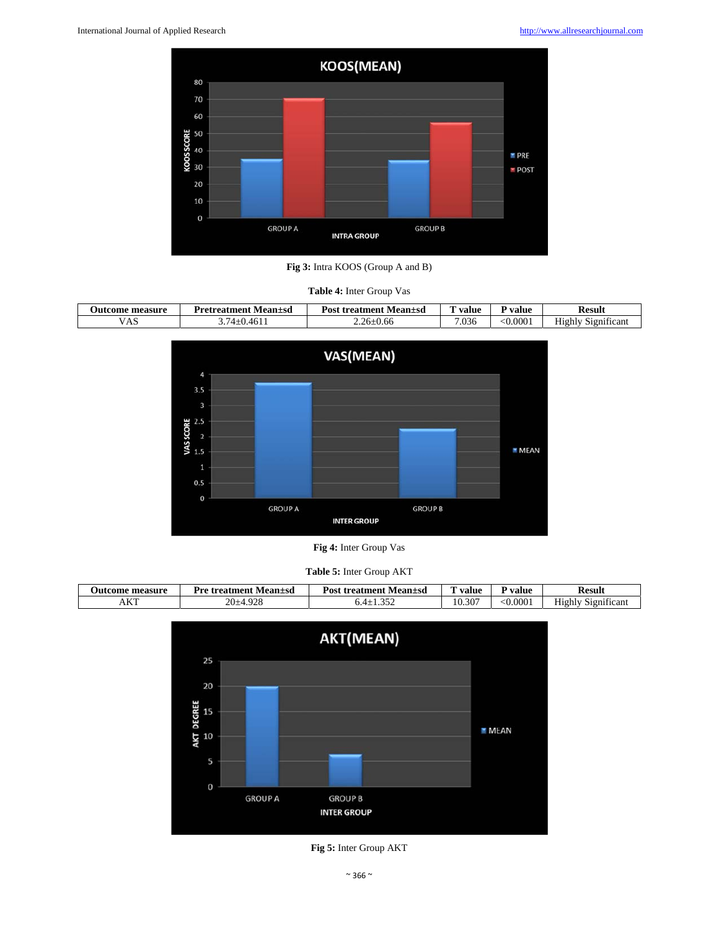



| <b>Table 4:</b> Inter Group Vas |                              |                                 |       |                    |                           |  |
|---------------------------------|------------------------------|---------------------------------|-------|--------------------|---------------------------|--|
| <b>Outcome measure</b>          | <b>Pretreatment Mean</b> +sd | <b>Post treatment Mean</b> ± sd | value | <sup>D</sup> value | Result                    |  |
| <b>VAS</b>                      | 3.74±0.4611                  | $2.26 \pm 0.66$                 | 7.036 | $-0.0001$          | <b>Highly Significant</b> |  |



**Fig 4:** Inter Group Vas

| <b>Table 5:</b> Inter Group AKT |  |  |  |
|---------------------------------|--|--|--|
|---------------------------------|--|--|--|

| measure<br>' Jut<br>*com. | Pre<br>Mean±sd<br>treatment | Post<br>treatment<br>Mean±sd | --<br>value | value    | Result                                 |
|---------------------------|-----------------------------|------------------------------|-------------|----------|----------------------------------------|
| L/T<br>AN.                | $\Omega$<br>20-<br>∼        | $\sim$ $\sim$ $\sim$         | 10.307      | < 0.0001 | . .<br>-<br>1111 cant<br>81 g n<br>H10 |



**Fig 5:** Inter Group AKT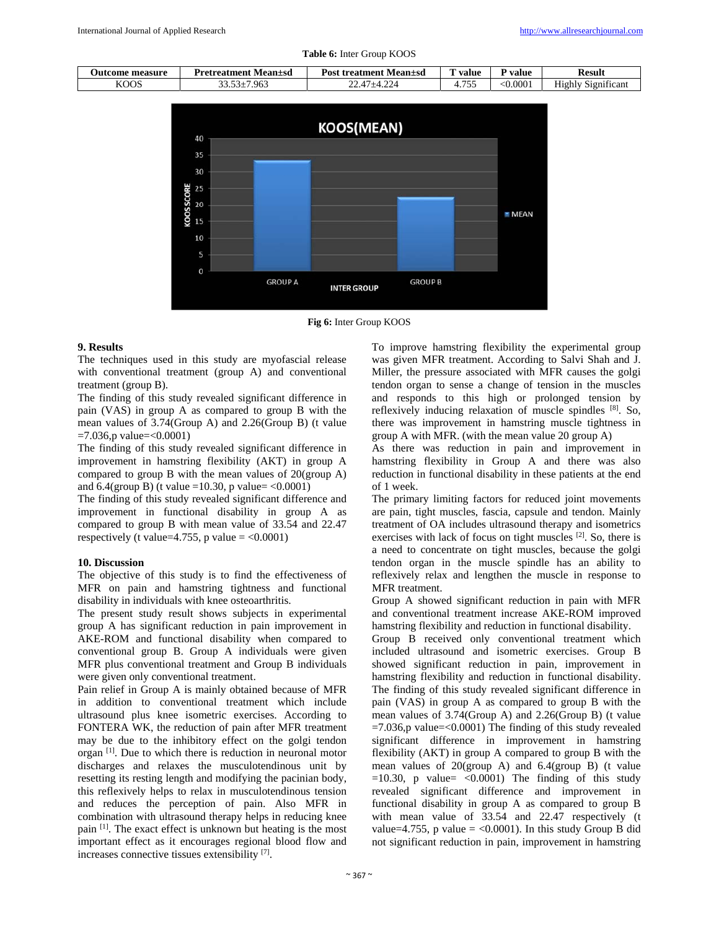

**Table 6:** Inter Group KOOS



**Fig 6:** Inter Group KOOS

# **9. Results**

The techniques used in this study are myofascial release with conventional treatment (group A) and conventional treatment (group B).

The finding of this study revealed significant difference in pain (VAS) in group A as compared to group B with the mean values of 3.74(Group A) and 2.26(Group B) (t value  $=7.036$ ,p value $=<0.0001$ )

The finding of this study revealed significant difference in improvement in hamstring flexibility (AKT) in group A compared to group B with the mean values of 20(group A) and  $6.4$ (group B) (t value =10.30, p value= <0.0001)

The finding of this study revealed significant difference and improvement in functional disability in group A as compared to group B with mean value of 33.54 and 22.47 respectively (t value=4.755, p value =  $< 0.0001$ )

# **10. Discussion**

The objective of this study is to find the effectiveness of MFR on pain and hamstring tightness and functional disability in individuals with knee osteoarthritis.

The present study result shows subjects in experimental group A has significant reduction in pain improvement in AKE-ROM and functional disability when compared to conventional group B. Group A individuals were given MFR plus conventional treatment and Group B individuals were given only conventional treatment.

Pain relief in Group A is mainly obtained because of MFR in addition to conventional treatment which include ultrasound plus knee isometric exercises. According to FONTERA WK, the reduction of pain after MFR treatment may be due to the inhibitory effect on the golgi tendon organ [1]. Due to which there is reduction in neuronal motor discharges and relaxes the musculotendinous unit by resetting its resting length and modifying the pacinian body, this reflexively helps to relax in musculotendinous tension and reduces the perception of pain. Also MFR in combination with ultrasound therapy helps in reducing knee pain [1]. The exact effect is unknown but heating is the most important effect as it encourages regional blood flow and increases connective tissues extensibility [7].

To improve hamstring flexibility the experimental group was given MFR treatment. According to Salvi Shah and J. Miller, the pressure associated with MFR causes the golgi tendon organ to sense a change of tension in the muscles and responds to this high or prolonged tension by reflexively inducing relaxation of muscle spindles [8]. So, there was improvement in hamstring muscle tightness in group A with MFR. (with the mean value 20 group A)

As there was reduction in pain and improvement in hamstring flexibility in Group A and there was also reduction in functional disability in these patients at the end of 1 week.

The primary limiting factors for reduced joint movements are pain, tight muscles, fascia, capsule and tendon. Mainly treatment of OA includes ultrasound therapy and isometrics exercises with lack of focus on tight muscles [2]. So, there is a need to concentrate on tight muscles, because the golgi tendon organ in the muscle spindle has an ability to reflexively relax and lengthen the muscle in response to MFR treatment.

Group A showed significant reduction in pain with MFR and conventional treatment increase AKE-ROM improved hamstring flexibility and reduction in functional disability.

Group B received only conventional treatment which included ultrasound and isometric exercises. Group B showed significant reduction in pain, improvement in hamstring flexibility and reduction in functional disability. The finding of this study revealed significant difference in pain (VAS) in group A as compared to group B with the mean values of 3.74(Group A) and 2.26(Group B) (t value  $=7.036$ ,p value $=<0.0001$ ) The finding of this study revealed significant difference in improvement in hamstring flexibility (AKT) in group A compared to group B with the mean values of 20(group A) and 6.4(group B) (t value  $=10.30$ , p value $=$  <0.0001) The finding of this study revealed significant difference and improvement in functional disability in group A as compared to group B with mean value of 33.54 and 22.47 respectively (t value=4.755, p value =  $< 0.0001$ ). In this study Group B did not significant reduction in pain, improvement in hamstring